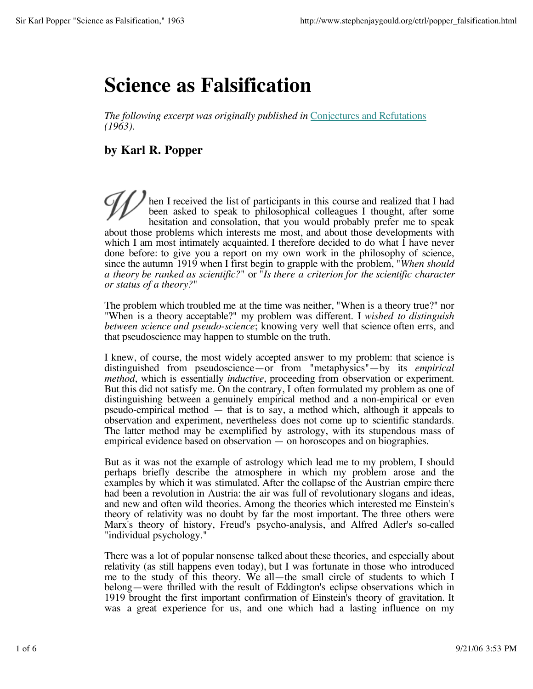## **Science as Falsification**

*The following excerpt was originally published in* Conjectures and Refutations *(1963)*.

## **by Karl R. Popper**

hen I received the list of participants in this course and realized that I had been asked to speak to philosophical colleagues I thought, after some hesitation and consolation, that you would probably prefer me to speak about those problems which interests me most, and about those developments with which I am most intimately acquainted. I therefore decided to do what I have never done before: to give you a report on my own work in the philosophy of science, since the autumn 1919 when I first begin to grapple with the problem, "*When should a theory be ranked as scientific?*" or "*Is there a criterion for the scientific character or status of a theory?*"

The problem which troubled me at the time was neither, "When is a theory true?" nor "When is a theory acceptable?" my problem was different. I *wished to distinguish between science and pseudo*-*science*; knowing very well that science often errs, and that pseudoscience may happen to stumble on the truth.

I knew, of course, the most widely accepted answer to my problem: that science is distinguished from pseudoscience—or from "metaphysics"—by its *empirical method*, which is essentially *inductive*, proceeding from observation or experiment. But this did not satisfy me. On the contrary, I often formulated my problem as one of distinguishing between a genuinely empirical method and a non-empirical or even pseudo-empirical method — that is to say, a method which, although it appeals to observation and experiment, nevertheless does not come up to scientific standards. The latter method may be exemplified by astrology, with its stupendous mass of empirical evidence based on observation — on horoscopes and on biographies.

But as it was not the example of astrology which lead me to my problem, I should perhaps briefly describe the atmosphere in which my problem arose and the examples by which it was stimulated. After the collapse of the Austrian empire there had been a revolution in Austria: the air was full of revolutionary slogans and ideas, and new and often wild theories. Among the theories which interested me Einstein's theory of relativity was no doubt by far the most important. The three others were Marx's theory of history, Freud's psycho-analysis, and Alfred Adler's so-called "individual psychology."

There was a lot of popular nonsense talked about these theories, and especially about relativity (as still happens even today), but I was fortunate in those who introduced me to the study of this theory. We all—the small circle of students to which I belong—were thrilled with the result of Eddington's eclipse observations which in 1919 brought the first important confirmation of Einstein's theory of gravitation. It was a great experience for us, and one which had a lasting influence on my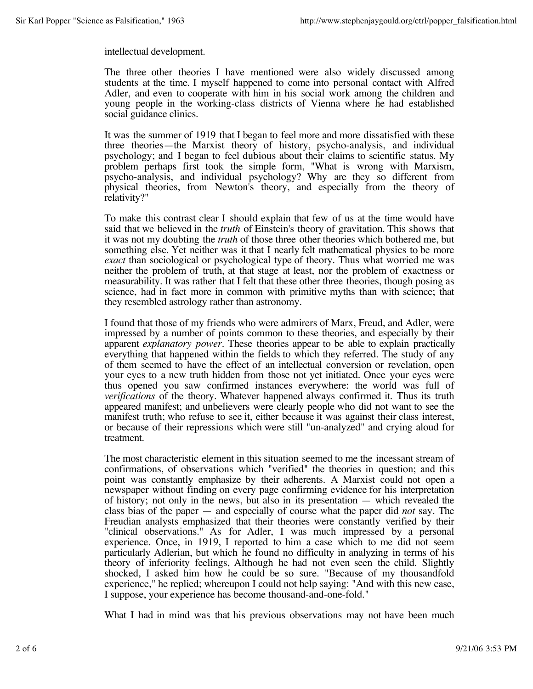intellectual development.

The three other theories I have mentioned were also widely discussed among students at the time. I myself happened to come into personal contact with Alfred Adler, and even to cooperate with him in his social work among the children and young people in the working-class districts of Vienna where he had established social guidance clinics.

It was the summer of 1919 that I began to feel more and more dissatisfied with these three theories—the Marxist theory of history, psycho-analysis, and individual psychology; and I began to feel dubious about their claims to scientific status. My problem perhaps first took the simple form, "What is wrong with Marxism, psycho-analysis, and individual psychology? Why are they so different from physical theories, from Newton's theory, and especially from the theory of relativity?"

To make this contrast clear I should explain that few of us at the time would have said that we believed in the *truth* of Einstein's theory of gravitation. This shows that it was not my doubting the *truth* of those three other theories which bothered me, but something else. Yet neither was it that I nearly felt mathematical physics to be more *exact* than sociological or psychological type of theory. Thus what worried me was neither the problem of truth, at that stage at least, nor the problem of exactness or measurability. It was rather that I felt that these other three theories, though posing as science, had in fact more in common with primitive myths than with science; that they resembled astrology rather than astronomy.

I found that those of my friends who were admirers of Marx, Freud, and Adler, were impressed by a number of points common to these theories, and especially by their apparent *explanatory power*. These theories appear to be able to explain practically everything that happened within the fields to which they referred. The study of any of them seemed to have the effect of an intellectual conversion or revelation, open your eyes to a new truth hidden from those not yet initiated. Once your eyes were thus opened you saw confirmed instances everywhere: the world was full of *verifications* of the theory. Whatever happened always confirmed it. Thus its truth appeared manifest; and unbelievers were clearly people who did not want to see the manifest truth; who refuse to see it, either because it was against their class interest, or because of their repressions which were still "un-analyzed" and crying aloud for treatment.

The most characteristic element in this situation seemed to me the incessant stream of confirmations, of observations which "verified" the theories in question; and this point was constantly emphasize by their adherents. A Marxist could not open a newspaper without finding on every page confirming evidence for his interpretation of history; not only in the news, but also in its presentation — which revealed the class bias of the paper — and especially of course what the paper did *not* say. The Freudian analysts emphasized that their theories were constantly verified by their "clinical observations." As for Adler, I was much impressed by a personal experience. Once, in 1919, I reported to him a case which to me did not seem particularly Adlerian, but which he found no difficulty in analyzing in terms of his theory of inferiority feelings, Although he had not even seen the child. Slightly shocked, I asked him how he could be so sure. "Because of my thousandfold experience," he replied; whereupon I could not help saying: "And with this new case, I suppose, your experience has become thousand-and-one-fold."

What I had in mind was that his previous observations may not have been much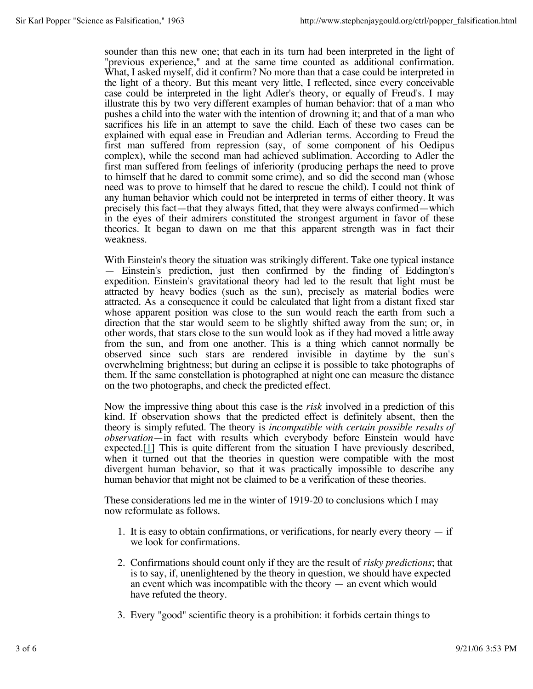sounder than this new one; that each in its turn had been interpreted in the light of "previous experience," and at the same time counted as additional confirmation. What, I asked myself, did it confirm? No more than that a case could be interpreted in the light of a theory. But this meant very little, I reflected, since every conceivable case could be interpreted in the light Adler's theory, or equally of Freud's. I may illustrate this by two very different examples of human behavior: that of a man who pushes a child into the water with the intention of drowning it; and that of a man who sacrifices his life in an attempt to save the child. Each of these two cases can be explained with equal ease in Freudian and Adlerian terms. According to Freud the first man suffered from repression (say, of some component of his Oedipus complex), while the second man had achieved sublimation. According to Adler the first man suffered from feelings of inferiority (producing perhaps the need to prove to himself that he dared to commit some crime), and so did the second man (whose need was to prove to himself that he dared to rescue the child). I could not think of any human behavior which could not be interpreted in terms of either theory. It was precisely this fact—that they always fitted, that they were always confirmed—which in the eyes of their admirers constituted the strongest argument in favor of these theories. It began to dawn on me that this apparent strength was in fact their weakness.

With Einstein's theory the situation was strikingly different. Take one typical instance — Einstein's prediction, just then confirmed by the finding of Eddington's expedition. Einstein's gravitational theory had led to the result that light must be attracted by heavy bodies (such as the sun), precisely as material bodies were attracted. As a consequence it could be calculated that light from a distant fixed star whose apparent position was close to the sun would reach the earth from such a direction that the star would seem to be slightly shifted away from the sun; or, in other words, that stars close to the sun would look as if they had moved a little away from the sun, and from one another. This is a thing which cannot normally be observed since such stars are rendered invisible in daytime by the sun's overwhelming brightness; but during an eclipse it is possible to take photographs of them. If the same constellation is photographed at night one can measure the distance on the two photographs, and check the predicted effect.

Now the impressive thing about this case is the *risk* involved in a prediction of this kind. If observation shows that the predicted effect is definitely absent, then the theory is simply refuted. The theory is *incompatible with certain possible results of observation*—in fact with results which everybody before Einstein would have expected.[1] This is quite different from the situation I have previously described, when it turned out that the theories in question were compatible with the most divergent human behavior, so that it was practically impossible to describe any human behavior that might not be claimed to be a verification of these theories.

These considerations led me in the winter of 1919-20 to conclusions which I may now reformulate as follows.

- 1. It is easy to obtain confirmations, or verifications, for nearly every theory  $-$  if we look for confirmations.
- Confirmations should count only if they are the result of *risky predictions*; that 2. is to say, if, unenlightened by the theory in question, we should have expected an event which was incompatible with the theory — an event which would have refuted the theory.
- 3. Every "good" scientific theory is a prohibition: it forbids certain things to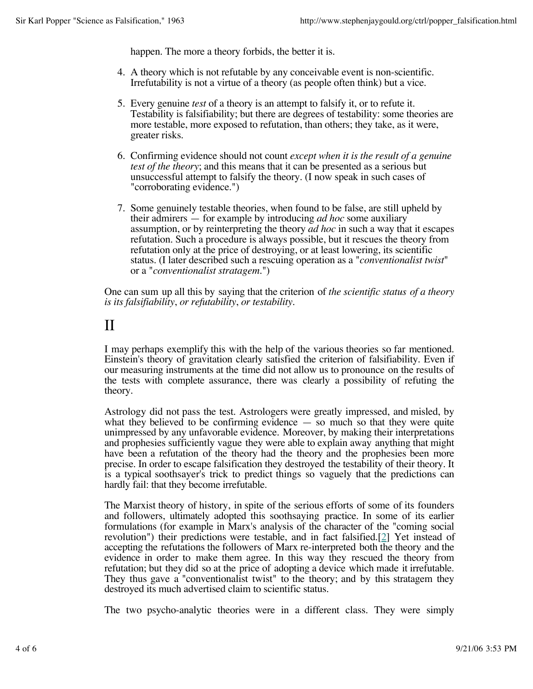happen. The more a theory forbids, the better it is.

- A theory which is not refutable by any conceivable event is non-scientific. 4. Irrefutability is not a virtue of a theory (as people often think) but a vice.
- Every genuine *test* of a theory is an attempt to falsify it, or to refute it. 5. Testability is falsifiability; but there are degrees of testability: some theories are more testable, more exposed to refutation, than others; they take, as it were, greater risks.
- Confirming evidence should not count *except when it is the result of a genuine* 6. *test of the theory*; and this means that it can be presented as a serious but unsuccessful attempt to falsify the theory. (I now speak in such cases of "corroborating evidence.")
- 7. Some genuinely testable theories, when found to be false, are still upheld by their admirers — for example by introducing *ad hoc* some auxiliary assumption, or by reinterpreting the theory *ad hoc* in such a way that it escapes refutation. Such a procedure is always possible, but it rescues the theory from refutation only at the price of destroying, or at least lowering, its scientific status. (I later described such a rescuing operation as a "*conventionalist twist*" or a "*conventionalist stratagem*.")

One can sum up all this by saying that the criterion of *the scientific status of a theory is its falsifiability*, *or refutability*, *or testability*.

## II

I may perhaps exemplify this with the help of the various theories so far mentioned. Einstein's theory of gravitation clearly satisfied the criterion of falsifiability. Even if our measuring instruments at the time did not allow us to pronounce on the results of the tests with complete assurance, there was clearly a possibility of refuting the theory.

Astrology did not pass the test. Astrologers were greatly impressed, and misled, by what they believed to be confirming evidence  $-$  so much so that they were quite unimpressed by any unfavorable evidence. Moreover, by making their interpretations and prophesies sufficiently vague they were able to explain away anything that might have been a refutation of the theory had the theory and the prophesies been more precise. In order to escape falsification they destroyed the testability of their theory. It is a typical soothsayer's trick to predict things so vaguely that the predictions can hardly fail: that they become irrefutable.

The Marxist theory of history, in spite of the serious efforts of some of its founders and followers, ultimately adopted this soothsaying practice. In some of its earlier formulations (for example in Marx's analysis of the character of the "coming social revolution") their predictions were testable, and in fact falsified.[2] Yet instead of accepting the refutations the followers of Marx re-interpreted both the theory and the evidence in order to make them agree. In this way they rescued the theory from refutation; but they did so at the price of adopting a device which made it irrefutable. They thus gave a "conventionalist twist" to the theory; and by this stratagem they destroyed its much advertised claim to scientific status.

The two psycho-analytic theories were in a different class. They were simply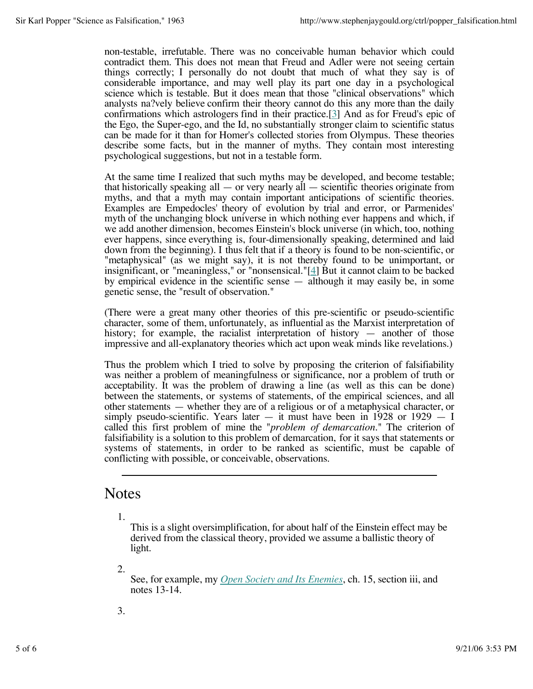non-testable, irrefutable. There was no conceivable human behavior which could contradict them. This does not mean that Freud and Adler were not seeing certain things correctly; I personally do not doubt that much of what they say is of considerable importance, and may well play its part one day in a psychological science which is testable. But it does mean that those "clinical observations" which analysts na?vely believe confirm their theory cannot do this any more than the daily confirmations which astrologers find in their practice.[3] And as for Freud's epic of the Ego, the Super-ego, and the Id, no substantially stronger claim to scientific status can be made for it than for Homer's collected stories from Olympus. These theories describe some facts, but in the manner of myths. They contain most interesting psychological suggestions, but not in a testable form.

At the same time I realized that such myths may be developed, and become testable; that historically speaking all  $-$  or very nearly all  $-$  scientific theories originate from myths, and that a myth may contain important anticipations of scientific theories. Examples are Empedocles' theory of evolution by trial and error, or Parmenides' myth of the unchanging block universe in which nothing ever happens and which, if we add another dimension, becomes Einstein's block universe (in which, too, nothing ever happens, since everything is, four-dimensionally speaking, determined and laid down from the beginning). I thus felt that if a theory is found to be non-scientific, or "metaphysical" (as we might say), it is not thereby found to be unimportant, or insignificant, or "meaningless," or "nonsensical."[4] But it cannot claim to be backed by empirical evidence in the scientific sense — although it may easily be, in some genetic sense, the "result of observation."

(There were a great many other theories of this pre-scientific or pseudo-scientific character, some of them, unfortunately, as influential as the Marxist interpretation of history; for example, the racialist interpretation of history — another of those impressive and all-explanatory theories which act upon weak minds like revelations.)

Thus the problem which I tried to solve by proposing the criterion of falsifiability was neither a problem of meaningfulness or significance, nor a problem of truth or acceptability. It was the problem of drawing a line (as well as this can be done) between the statements, or systems of statements, of the empirical sciences, and all other statements — whether they are of a religious or of a metaphysical character, or simply pseudo-scientific. Years later  $-$  it must have been in 1928 or 1929  $-$  I called this first problem of mine the "*problem of demarcation*." The criterion of falsifiability is a solution to this problem of demarcation, for it says that statements or systems of statements, in order to be ranked as scientific, must be capable of conflicting with possible, or conceivable, observations.

## Notes

1. This is a slight oversimplification, for about half of the Einstein effect may be derived from the classical theory, provided we assume a ballistic theory of light.

2.

See, for example, my *Open Society and Its Enemies*, ch. 15, section iii, and notes 13-14.

3.